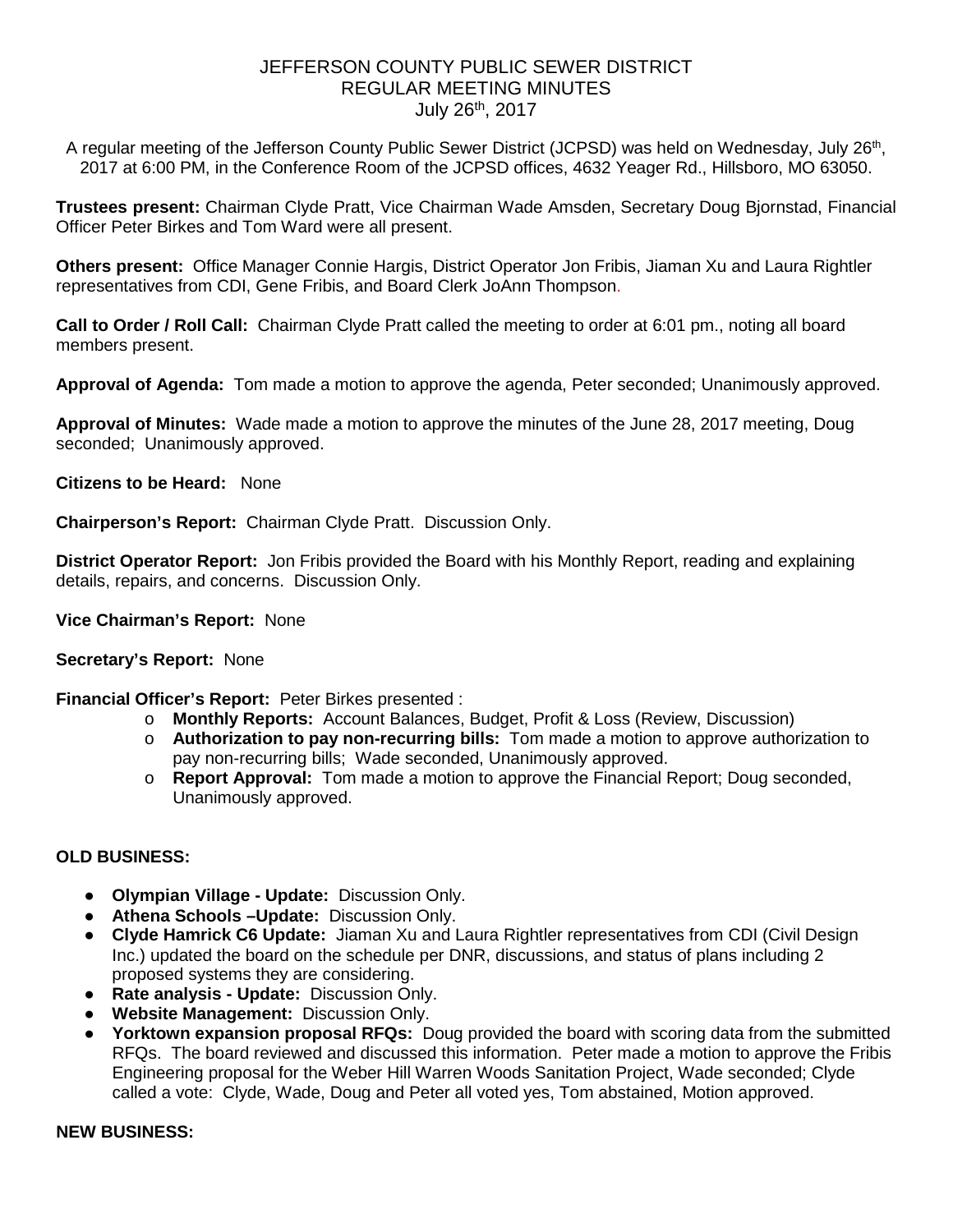# JEFFERSON COUNTY PUBLIC SEWER DISTRICT REGULAR MEETING MINUTES July 26th, 2017

A regular meeting of the Jefferson County Public Sewer District (JCPSD) was held on Wednesday, July 26<sup>th</sup>, 2017 at 6:00 PM, in the Conference Room of the JCPSD offices, 4632 Yeager Rd., Hillsboro, MO 63050.

**Trustees present:** Chairman Clyde Pratt, Vice Chairman Wade Amsden, Secretary Doug Bjornstad, Financial Officer Peter Birkes and Tom Ward were all present.

**Others present:** Office Manager Connie Hargis, District Operator Jon Fribis, Jiaman Xu and Laura Rightler representatives from CDI, Gene Fribis, and Board Clerk JoAnn Thompson.

**Call to Order / Roll Call:** Chairman Clyde Pratt called the meeting to order at 6:01 pm., noting all board members present.

**Approval of Agenda:** Tom made a motion to approve the agenda, Peter seconded; Unanimously approved.

**Approval of Minutes:** Wade made a motion to approve the minutes of the June 28, 2017 meeting, Doug seconded; Unanimously approved.

**Citizens to be Heard:** None

**Chairperson's Report:** Chairman Clyde Pratt. Discussion Only.

**District Operator Report:** Jon Fribis provided the Board with his Monthly Report, reading and explaining details, repairs, and concerns. Discussion Only.

**Vice Chairman's Report:** None

## **Secretary's Report:** None

**Financial Officer's Report:** Peter Birkes presented :

- o **Monthly Reports:** Account Balances, Budget, Profit & Loss (Review, Discussion)
- o **Authorization to pay non-recurring bills:** Tom made a motion to approve authorization to pay non-recurring bills; Wade seconded, Unanimously approved.
- o **Report Approval:** Tom made a motion to approve the Financial Report; Doug seconded, Unanimously approved.

## **OLD BUSINESS:**

- **Olympian Village - Update:** Discussion Only.
- **Athena Schools –Update:** Discussion Only.
- **Clyde Hamrick C6 Update:** Jiaman Xu and Laura Rightler representatives from CDI (Civil Design Inc.) updated the board on the schedule per DNR, discussions, and status of plans including 2 proposed systems they are considering.
- **Rate analysis - Update:** Discussion Only.
- **Website Management:** Discussion Only.
- **Yorktown expansion proposal RFQs:** Doug provided the board with scoring data from the submitted RFQs. The board reviewed and discussed this information. Peter made a motion to approve the Fribis Engineering proposal for the Weber Hill Warren Woods Sanitation Project, Wade seconded; Clyde called a vote: Clyde, Wade, Doug and Peter all voted yes, Tom abstained, Motion approved.

### **NEW BUSINESS:**